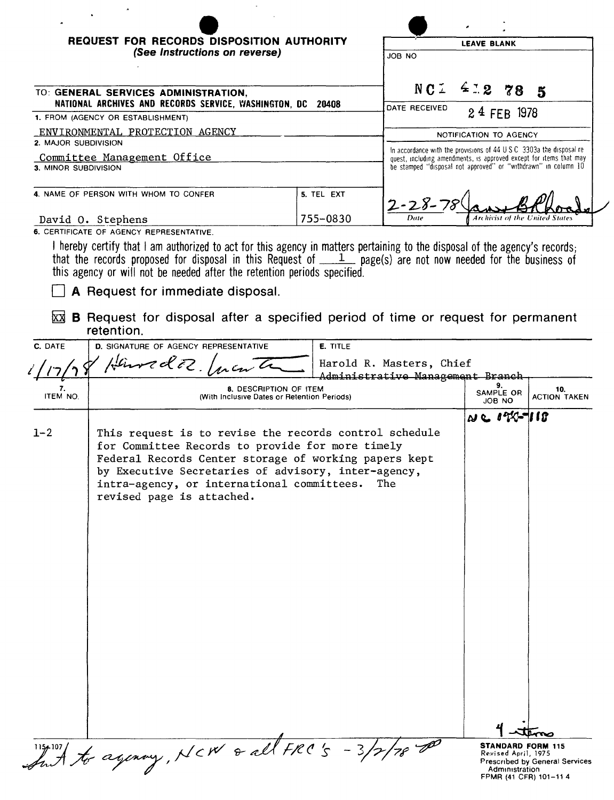| REQUEST FOR RECORDS DISPOSITION AUTHORITY<br>(See Instructions on reverse)                          |            | <b>LEAVE BLANK</b><br>JOB NO                                                                                                                                                                                  |  |  |
|-----------------------------------------------------------------------------------------------------|------------|---------------------------------------------------------------------------------------------------------------------------------------------------------------------------------------------------------------|--|--|
| TO: GENERAL SERVICES ADMINISTRATION,<br>NATIONAL ARCHIVES AND RECORDS SERVICE, WASHINGTON, DC 20408 |            | N C L<br>4.278<br>- 5<br>DATE RECEIVED                                                                                                                                                                        |  |  |
| 1. FROM (AGENCY OR ESTABLISHMENT)                                                                   |            | 24 FEB 1978                                                                                                                                                                                                   |  |  |
| ENVIRONMENTAL PROTECTION AGENCY<br>2. MAJOR SUBDIVISION                                             |            | NOTIFICATION TO AGENCY                                                                                                                                                                                        |  |  |
| Committee Management Office<br>3. MINOR SUBDIVISION                                                 |            | In accordance with the provisions of 44 U.S.C. 3303a the disposal re-<br>quest, including amendments, is approved except for items that may<br>be stamped "disposal not approved" or "withdrawn" in column 10 |  |  |
| 4. NAME OF PERSON WITH WHOM TO CONFER                                                               | 5. TEL EXT | $2 - 28 - 78$                                                                                                                                                                                                 |  |  |
| David 0. Stephens                                                                                   | 755-0830   | <b>Archivist of the United States</b><br>Date                                                                                                                                                                 |  |  |

L.

6. CERTIFICATE OF AGENCY REPRESENTATIVE.

 $\mathcal{A}$ 

 $\ddot{\phantom{a}}$ 

I hereby certify that I am authorized to act for this agency in matters pertaining to the disposal of the agency's records;<br>that the records proposed for disposal in this Request of \_\_\_\_1\_ page(s) are not now needed for th this agency or will not be needed after the retention periods specified.

 $\Box$  A Request for immediate disposal.

 $\overline{\boxtimes}$  **B** Request for disposal after a specified period of time or request for permanent retention.

| C. DATE               | D. SIGNATURE OF AGENCY REPRESENTATIVE                                                                                                                                                                                                                                                                 | <b>E.</b> TITLE          |                                                                                             |                                |
|-----------------------|-------------------------------------------------------------------------------------------------------------------------------------------------------------------------------------------------------------------------------------------------------------------------------------------------------|--------------------------|---------------------------------------------------------------------------------------------|--------------------------------|
|                       | $k$ ured $2$                                                                                                                                                                                                                                                                                          | Harold R. Masters, Chief |                                                                                             |                                |
| 7.<br><b>ITEM NO.</b> | Administrative Management Branch<br>8. DESCRIPTION OF ITEM<br>(With Inclusive Dates or Retention Periods)                                                                                                                                                                                             |                          | 9.<br>SAMPLE OR<br>JOB NO                                                                   | 10.<br><b>ACTION TAKEN</b>     |
| $1 - 2$               | This request is to revise the records control schedule<br>for Committee Records to provide for more timely<br>Federal Records Center storage of working papers kept<br>by Executive Secretaries of advisory, inter-agency,<br>intra-agency, or international committees.<br>revised page is attached. | The                      | $N \in 122 - 118$                                                                           |                                |
|                       | to agency, NCW & all FRC's -3,                                                                                                                                                                                                                                                                        |                          | <b>STANDARD FORM 115</b><br>Revised April, 1975<br>Administration<br>FPMR (41 CFR) 101-11 4 | Prescribed by General Services |